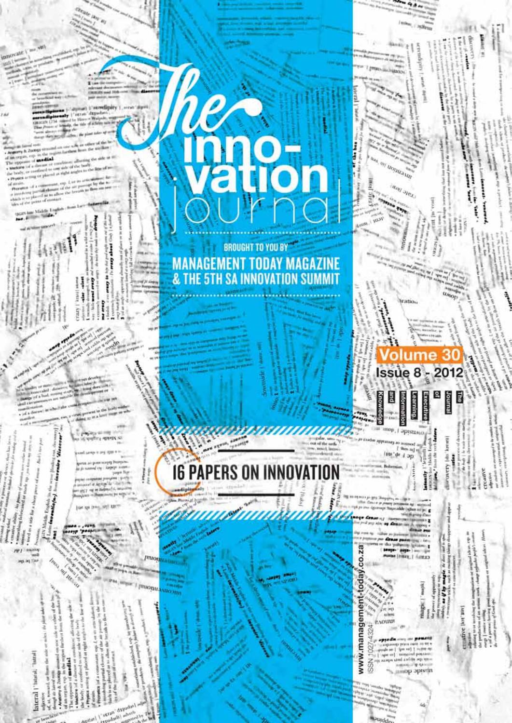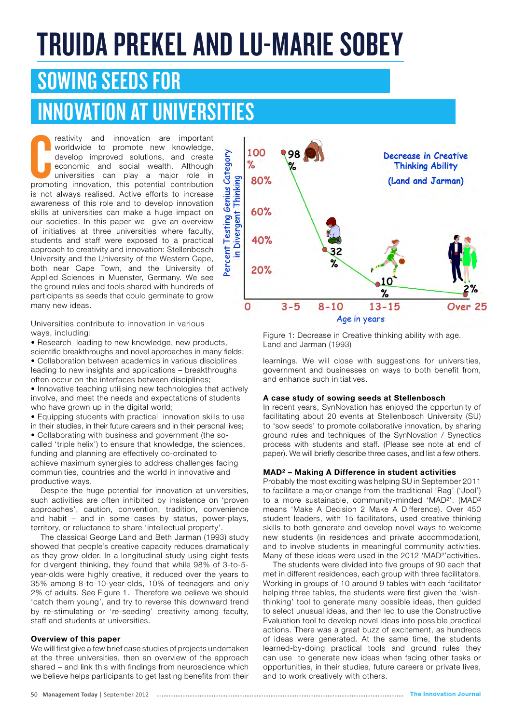# TRUIDA PREKEL AND LU-MARIE SOBEY

### SOWING SEEDS FOR

## INNOVATION AT UNIVERSITIES

reativity and innovation are important worldwide to promote new knowledge, develop improved solutions, and create economic and social wealth. Although universities can play a major role in promoting innovation, this potent reativity and innovation are important worldwide to promote new knowledge, develop improved solutions, and create economic and social wealth. Although universities can play a major role in is not always realised. Active efforts to increase awareness of this role and to develop innovation skills at universities can make a huge impact on our societies. In this paper we give an overview of initiatives at three universities where faculty, students and staff were exposed to a practical approach to creativity and innovation: Stellenbosch University and the University of the Western Cape, both near Cape Town, and the University of Applied Sciences in Muenster, Germany. We see the ground rules and tools shared with hundreds of participants as seeds that could germinate to grow many new ideas.



• Research leading to new knowledge, new products, scientific breakthroughs and novel approaches in many fields; • Collaboration between academics in various disciplines leading to new insights and applications – breakthroughs often occur on the interfaces between disciplines;

• Innovative teaching utilising new technologies that actively involve, and meet the needs and expectations of students who have grown up in the digital world;

• Equipping students with practical innovation skills to use in their studies, in their future careers and in their personal lives; • Collaborating with business and government (the socalled 'triple helix') to ensure that knowledge, the sciences, funding and planning are effectively co-ordinated to

achieve maximum synergies to address challenges facing communities, countries and the world in innovative and productive ways.

Despite the huge potential for innovation at universities, such activities are often inhibited by insistence on 'proven approaches', caution, convention, tradition, convenience and habit – and in some cases by status, power-plays, territory, or reluctance to share 'intellectual property'.

The classical George Land and Beth Jarman (1993) study showed that people's creative capacity reduces dramatically as they grow older. In a longitudinal study using eight tests for divergent thinking, they found that while 98% of 3-to-5 year-olds were highly creative, it reduced over the years to 35% among 8-to-10-year-olds, 10% of teenagers and only 2% of adults. See Figure 1. Therefore we believe we should 'catch them young', and try to reverse this downward trend by re-stimulating or 're-seeding' creativity among faculty, staff and students at universities.

#### **Overview of this paper**

We will first give a few brief case studies of projects undertaken at the three universities, then an overview of the approach shared – and link this with findings from neuroscience which we believe helps participants to get lasting benefits from their



Figure 1: Decrease in Creative thinking ability with age. Land and Jarman (1993)

learnings. We will close with suggestions for universities, government and businesses on ways to both benefit from, and enhance such initiatives.

#### **A case study of sowing seeds at Stellenbosch**

In recent years, SynNovation has enjoyed the opportunity of facilitating about 20 events at Stellenbosch University (SU) to 'sow seeds' to promote collaborative innovation, by sharing ground rules and techniques of the SynNovation / Synectics process with students and staff. (Please see note at end of paper). We will briefly describe three cases, and list a few others.

#### **MAD² – Making A Difference in student activities**

Probably the most exciting was helping SU in September 2011 to facilitate a major change from the traditional 'Rag' ('Jool') to a more sustainable, community-minded 'MAD²'. (MAD² means 'Make A Decision 2 Make A Difference). Over 450 student leaders, with 15 facilitators, used creative thinking skills to both generate and develop novel ways to welcome new students (in residences and private accommodation), and to involve students in meaningful community activities. Many of these ideas were used in the 2012 'MAD<sup>2</sup>' activities.

The students were divided into five groups of 90 each that met in different residences, each group with three facilitators. Working in groups of 10 around 9 tables with each facilitator helping three tables, the students were first given the 'wishthinking' tool to generate many possible ideas, then guided to select unusual ideas, and then led to use the Constructive Evaluation tool to develop novel ideas into possible practical actions. There was a great buzz of excitement, as hundreds of ideas were generated. At the same time, the students learned-by-doing practical tools and ground rules they can use to generate new ideas when facing other tasks or opportunities, in their studies, future careers or private lives, and to work creatively with others.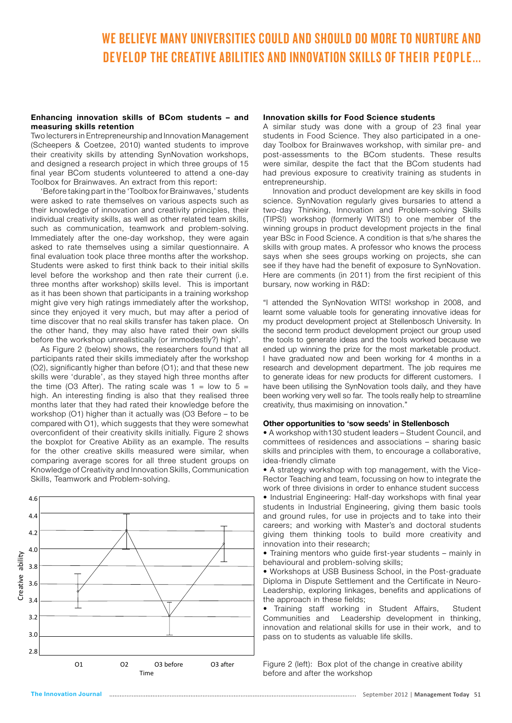### WE BELIEVE MANY UNIVERSITIES COULD AND SHOULD DO MORE TO NURTURE AND DEVELOP THE CREATIVE ABILITIES AND INNOVATION SKILLS OF THEIR PEOPLE...

#### **Enhancing innovation skills of BCom students – and measuring skills retention**

Two lecturers in Entrepreneurship and Innovation Management (Scheepers & Coetzee, 2010) wanted students to improve their creativity skills by attending SynNovation workshops, and designed a research project in which three groups of 15 final year BCom students volunteered to attend a one-day Toolbox for Brainwaves. An extract from this report:

'Before taking part in the 'Toolbox for Brainwaves,' students were asked to rate themselves on various aspects such as their knowledge of innovation and creativity principles, their individual creativity skills, as well as other related team skills, such as communication, teamwork and problem-solving. Immediately after the one-day workshop, they were again asked to rate themselves using a similar questionnaire. A final evaluation took place three months after the workshop. Students were asked to first think back to their initial skills level before the workshop and then rate their current (i.e. three months after workshop) skills level. This is important as it has been shown that participants in a training workshop might give very high ratings immediately after the workshop, since they enjoyed it very much, but may after a period of time discover that no real skills transfer has taken place. On the other hand, they may also have rated their own skills before the workshop unrealistically (or immodestly?) high'.

As Figure 2 (below) shows, the researchers found that all participants rated their skills immediately after the workshop (O2), significantly higher than before (O1); and that these new skills were 'durable', as they stayed high three months after the time (O3 After). The rating scale was  $1 =$  low to  $5 =$ high. An interesting finding is also that they realised three months later that they had rated their knowledge before the workshop (O1) higher than it actually was (O3 Before – to be compared with O1), which suggests that they were somewhat overconfident of their creativity skills initially. Figure 2 shows the boxplot for Creative Ability as an example. The results for the other creative skills measured were similar, when comparing average scores for all three student groups on Knowledge of Creativity and Innovation Skills, Communication Skills, Teamwork and Problem-solving.



#### **Innovation skills for Food Science students**

A similar study was done with a group of 23 final year students in Food Science. They also participated in a oneday Toolbox for Brainwaves workshop, with similar pre- and post-assessments to the BCom students. These results were similar, despite the fact that the BCom students had had previous exposure to creativity training as students in entrepreneurship.

Innovation and product development are key skills in food science. SynNovation regularly gives bursaries to attend a two-day Thinking, Innovation and Problem-solving Skills (TIPS!) workshop (formerly WITS!) to one member of the winning groups in product development projects in the final year BSc in Food Science. A condition is that s/he shares the skills with group mates. A professor who knows the process says when she sees groups working on projects, she can see if they have had the benefit of exposure to SynNovation. Here are comments (in 2011) from the first recipient of this bursary, now working in R&D:

"I attended the SynNovation WITS! workshop in 2008, and learnt some valuable tools for generating innovative ideas for my product development project at Stellenbosch University. In the second term product development project our group used the tools to generate ideas and the tools worked because we ended up winning the prize for the most marketable product. I have graduated now and been working for 4 months in a research and development department. The job requires me to generate ideas for new products for different customers. I have been utilising the SynNovation tools daily, and they have been working very well so far. The tools really help to streamline creativity, thus maximising on innovation."

#### **Other opportunities to 'sow seeds' in Stellenbosch**

• A workshop with130 student leaders – Student Council, and committees of residences and associations – sharing basic skills and principles with them, to encourage a collaborative, idea-friendly climate

• A strategy workshop with top management, with the Vice-Rector Teaching and team, focussing on how to integrate the work of three divisions in order to enhance student success • Industrial Engineering: Half-day workshops with final year

students in Industrial Engineering, giving them basic tools and ground rules, for use in projects and to take into their careers; and working with Master's and doctoral students giving them thinking tools to build more creativity and innovation into their research;

• Training mentors who guide first-year students – mainly in behavioural and problem-solving skills;

• Workshops at USB Business School, in the Post-graduate Diploma in Dispute Settlement and the Certificate in Neuro-Leadership, exploring linkages, benefits and applications of the approach in these fields;

• Training staff working in Student Affairs, Student Communities and Leadership development in thinking, innovation and relational skills for use in their work, and to pass on to students as valuable life skills.

Figure 2 (left): Box plot of the change in creative ability before and after the workshop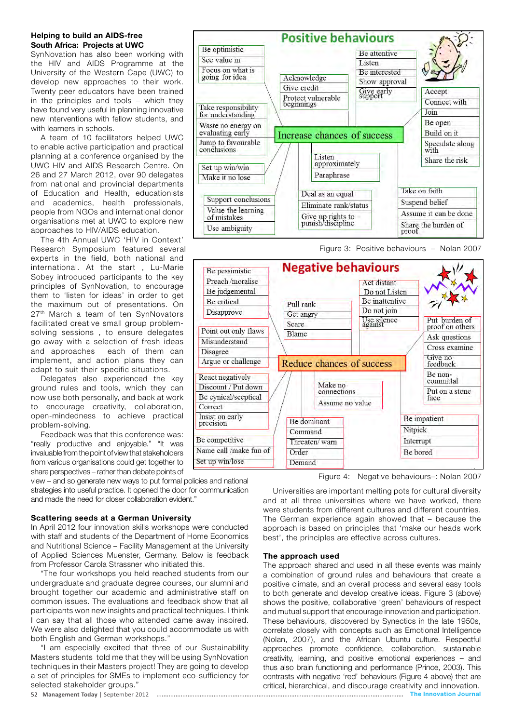#### **Helping to build an AIDS-free South Africa: Projects at UWC**

SynNovation has also been working with the HIV and AIDS Programme at the University of the Western Cape (UWC) to develop new approaches to their work. Twenty peer educators have been trained in the principles and tools – which they have found very useful in planning innovative new interventions with fellow students, and with learners in schools.

A team of 10 facilitators helped UWC to enable active participation and practical planning at a conference organised by the UWC HIV and AIDS Research Centre. On 26 and 27 March 2012, over 90 delegates from national and provincial departments of Education and Health, educationists and academics, health professionals, people from NGOs and international donor organisations met at UWC to explore new approaches to HIV/AIDS education.

The 4th Annual UWC 'HIV in Context' Research Symposium featured several experts in the field, both national and international. At the start , Lu-Marie Sobey introduced participants to the key principles of SynNovation, to encourage them to 'listen for ideas' in order to get the maximum out of presentations. On 27<sup>th</sup> March a team of ten SynNovators facilitated creative small group problemsolving sessions , to ensure delegates go away with a selection of fresh ideas and approaches each of them can implement, and action plans they can adapt to suit their specific situations.

Delegates also experienced the key ground rules and tools, which they can now use both personally, and back at work to encourage creativity, collaboration, open-mindedness to achieve practical problem-solving.

Feedback was that this conference was: "really productive and enjoyable." "It was invaluable from the point of view that stakeholders from various organisations could get together to share perspectives – rather than debate points of

view – and so generate new ways to put formal policies and national strategies into useful practice. It opened the door for communication and made the need for closer collaboration evident."

#### **Scattering seeds at a German University**

In April 2012 four innovation skills workshops were conducted with staff and students of the Department of Home Economics and Nutritional Science – Facility Management at the University of Applied Sciences Muenster, Germany. Below is feedback from Professor Carola Strassner who initiated this.

"The four workshops you held reached students from our undergraduate and graduate degree courses, our alumni and brought together our academic and administrative staff on common issues. The evaluations and feedback show that all participants won new insights and practical techniques. I think I can say that all those who attended came away inspired. We were also delighted that you could accommodate us with both English and German workshops."

"I am especially excited that three of our Sustainability Masters students told me that they will be using SynNovation techniques in their Masters project! They are going to develop a set of principles for SMEs to implement eco-sufficiency for selected stakeholder groups."



Figure 3: Positive behaviours – Nolan 2007



Figure 4: Negative behaviours–: Nolan 2007

Universities are important melting pots for cultural diversity and at all three universities where we have worked, there were students from different cultures and different countries. The German experience again showed that – because the approach is based on principles that 'make our heads work best', the principles are effective across cultures.

#### **The approach used**

The approach shared and used in all these events was mainly a combination of ground rules and behaviours that create a positive climate, and an overall process and several easy tools to both generate and develop creative ideas. Figure 3 (above) shows the positive, collaborative 'green' behaviours of respect and mutual support that encourage innovation and participation. These behaviours, discovered by Synectics in the late 1950s, correlate closely with concepts such as Emotional Intelligence (Nolan, 2007), and the African Ubuntu culture. Respectful approaches promote confidence, collaboration, sustainable creativity, learning, and positive emotional experiences – and thus also brain functioning and performance (Prince, 2003). This contrasts with negative 'red' behaviours (Figure 4 above) that are critical, hierarchical, and discourage creativity and innovation. 52 **Management Today** | September 2012 The Innovation Journal